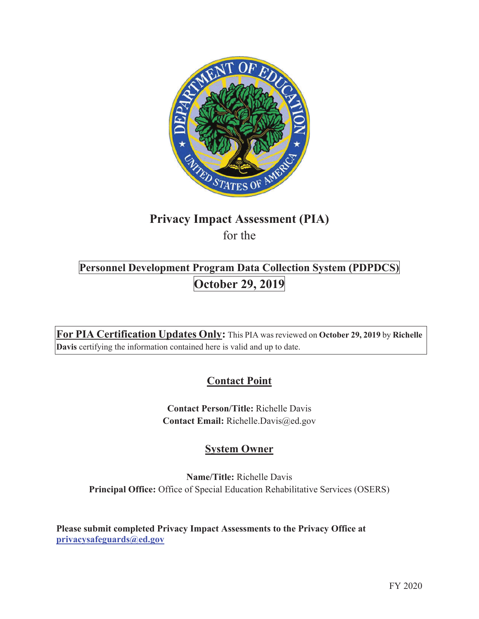

# **Privacy Impact Assessment (PIA)**

for the

# **Personnel Development Program Data Collection System (PDPDCS) October 29, 2019**

**For PIA Certification Updates Only:** This PIA was reviewed on **October 29, 2019** by **Richelle Davis** certifying the information contained here is valid and up to date.

# **Contact Point**

**Contact Person/Title:** Richelle Davis **Contact Email:** Richelle.Davis@ed.gov

# **System Owner**

**Name/Title:** Richelle Davis **Principal Office:** Office of Special Education Rehabilitative Services (OSERS)

**Please submit completed Privacy Impact Assessments to the Privacy Office at privacysafeguards@ed.gov**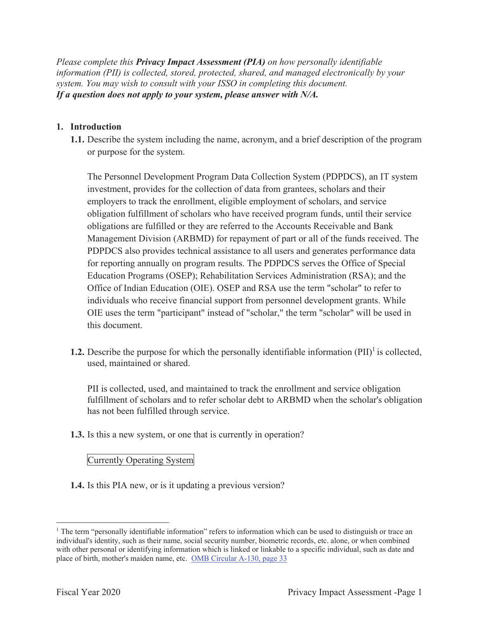*Please complete this Privacy Impact Assessment (PIA) on how personally identifiable information (PII) is collected, stored, protected, shared, and managed electronically by your system. You may wish to consult with your ISSO in completing this document. If a question does not apply to your system, please answer with N/A.* 

#### **1. Introduction**

**1.1.** Describe the system including the name, acronym, and a brief description of the program or purpose for the system.

The Personnel Development Program Data Collection System (PDPDCS), an IT system investment, provides for the collection of data from grantees, scholars and their employers to track the enrollment, eligible employment of scholars, and service obligation fulfillment of scholars who have received program funds, until their service obligations are fulfilled or they are referred to the Accounts Receivable and Bank Management Division (ARBMD) for repayment of part or all of the funds received. The PDPDCS also provides technical assistance to all users and generates performance data for reporting annually on program results. The PDPDCS serves the Office of Special Education Programs (OSEP); Rehabilitation Services Administration (RSA); and the Office of Indian Education (OIE). OSEP and RSA use the term "scholar" to refer to individuals who receive financial support from personnel development grants. While OIE uses the term "participant" instead of "scholar," the term "scholar" will be used in this document.

**1.2.** Describe the purpose for which the personally identifiable information  $(PII)^{1}$  is collected, used, maintained or shared.

PII is collected, used, and maintained to track the enrollment and service obligation fulfillment of scholars and to refer scholar debt to ARBMD when the scholar's obligation has not been fulfilled through service.

**1.3.** Is this a new system, or one that is currently in operation?

#### Currently Operating System

**1.4.** Is this PIA new, or is it updating a previous version?

<sup>&</sup>lt;sup>1</sup> The term "personally identifiable information" refers to information which can be used to distinguish or trace an individual's identity, such as their name, social security number, biometric records, etc. alone, or when combined with other personal or identifying information which is linked or linkable to a specific individual, such as date and place of birth, mother's maiden name, etc. OMB Circular A-130, page 33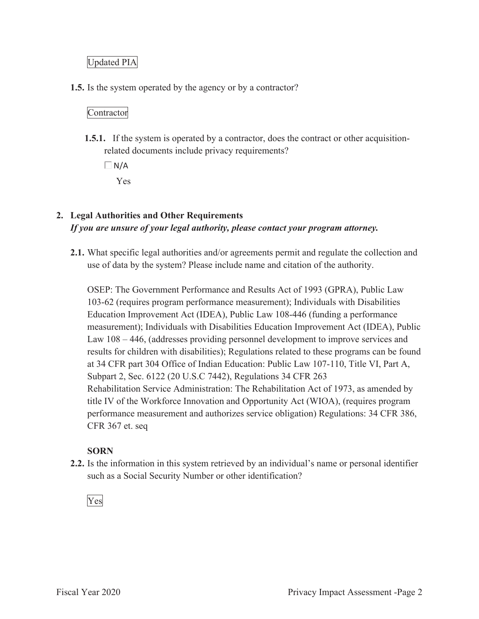## Updated PIA

**1.5.** Is the system operated by the agency or by a contractor?

#### Contractor

**1.5.1.** If the system is operated by a contractor, does the contract or other acquisitionrelated documents include privacy requirements?

 $\Box N/A$ Yes

# **2. Legal Authorities and Other Requirements**  *If you are unsure of your legal authority, please contact your program attorney.*

**2.1.** What specific legal authorities and/or agreements permit and regulate the collection and use of data by the system? Please include name and citation of the authority.

OSEP: The Government Performance and Results Act of 1993 (GPRA), Public Law 103-62 (requires program performance measurement); Individuals with Disabilities Education Improvement Act (IDEA), Public Law 108-446 (funding a performance measurement); Individuals with Disabilities Education Improvement Act (IDEA), Public Law 108 – 446, (addresses providing personnel development to improve services and results for children with disabilities); Regulations related to these programs can be found at 34 CFR part 304 Office of Indian Education: Public Law 107-110, Title VI, Part A, Subpart 2, Sec. 6122 (20 U.S.C 7442), Regulations 34 CFR 263 Rehabilitation Service Administration: The Rehabilitation Act of 1973, as amended by title IV of the Workforce Innovation and Opportunity Act (WIOA), (requires program performance measurement and authorizes service obligation) Regulations: 34 CFR 386, CFR 367 et. seq

#### **SORN**

**2.2.** Is the information in this system retrieved by an individual's name or personal identifier such as a Social Security Number or other identification?

Yes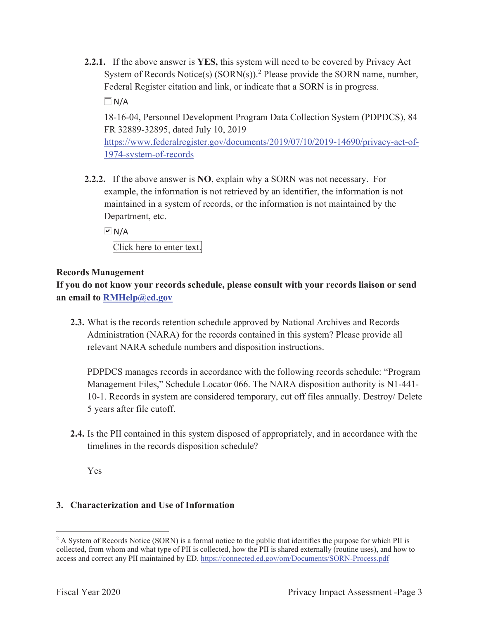**2.2.1.** If the above answer is **YES,** this system will need to be covered by Privacy Act System of Records Notice(s)  $(SORN(s))$ .<sup>2</sup> Please provide the SORN name, number, Federal Register citation and link, or indicate that a SORN is in progress.

 $\Box$  N/A

18-16-04, Personnel Development Program Data Collection System (PDPDCS), 84 FR 32889-32895, dated July 10, 2019

https://www.federalregister.gov/documents/2019/07/10/2019-14690/privacy-act-of-1974-system-of-records

**2.2.2.** If the above answer is **NO**, explain why a SORN was not necessary. For example, the information is not retrieved by an identifier, the information is not maintained in a system of records, or the information is not maintained by the Department, etc.

 $\overline{M}$  N/A

Click here to enter text.

#### **Records Management**

**If you do not know your records schedule, please consult with your records liaison or send an email to RMHelp@ed.gov** 

**2.3.** What is the records retention schedule approved by National Archives and Records Administration (NARA) for the records contained in this system? Please provide all relevant NARA schedule numbers and disposition instructions.

PDPDCS manages records in accordance with the following records schedule: "Program Management Files," Schedule Locator 066. The NARA disposition authority is N1-441- 10-1. Records in system are considered temporary, cut off files annually. Destroy/ Delete 5 years after file cutoff.

**2.4.** Is the PII contained in this system disposed of appropriately, and in accordance with the timelines in the records disposition schedule?

Yes

#### **3. Characterization and Use of Information**

<sup>&</sup>lt;sup>2</sup> A System of Records Notice (SORN) is a formal notice to the public that identifies the purpose for which PII is collected, from whom and what type of PII is collected, how the PII is shared externally (routine uses), and how to access and correct any PII maintained by ED. https://connected.ed.gov/om/Documents/SORN-Process.pdf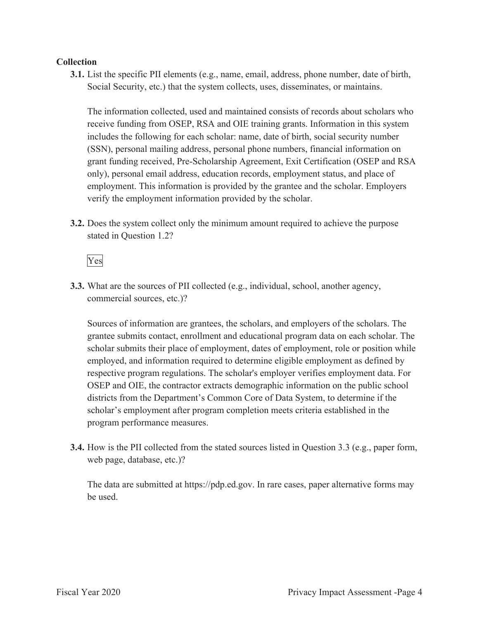#### **Collection**

**3.1.** List the specific PII elements (e.g., name, email, address, phone number, date of birth, Social Security, etc.) that the system collects, uses, disseminates, or maintains.

The information collected, used and maintained consists of records about scholars who receive funding from OSEP, RSA and OIE training grants. Information in this system includes the following for each scholar: name, date of birth, social security number (SSN), personal mailing address, personal phone numbers, financial information on grant funding received, Pre-Scholarship Agreement, Exit Certification (OSEP and RSA only), personal email address, education records, employment status, and place of employment. This information is provided by the grantee and the scholar. Employers verify the employment information provided by the scholar.

**3.2.** Does the system collect only the minimum amount required to achieve the purpose stated in Question 1.2?

Yes

**3.3.** What are the sources of PII collected (e.g., individual, school, another agency, commercial sources, etc.)?

Sources of information are grantees, the scholars, and employers of the scholars. The grantee submits contact, enrollment and educational program data on each scholar. The scholar submits their place of employment, dates of employment, role or position while employed, and information required to determine eligible employment as defined by respective program regulations. The scholar's employer verifies employment data. For OSEP and OIE, the contractor extracts demographic information on the public school districts from the Department's Common Core of Data System, to determine if the scholar's employment after program completion meets criteria established in the program performance measures.

**3.4.** How is the PII collected from the stated sources listed in Question 3.3 (e.g., paper form, web page, database, etc.)?

The data are submitted at https://pdp.ed.gov. In rare cases, paper alternative forms may be used.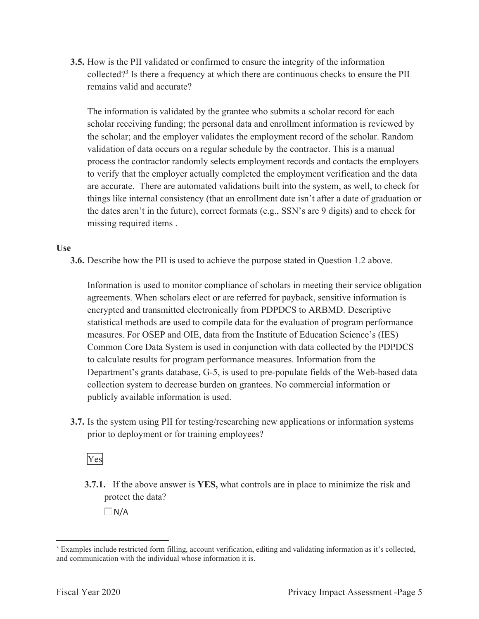**3.5.** How is the PII validated or confirmed to ensure the integrity of the information collected?<sup>3</sup> Is there a frequency at which there are continuous checks to ensure the PII remains valid and accurate?

The information is validated by the grantee who submits a scholar record for each scholar receiving funding; the personal data and enrollment information is reviewed by the scholar; and the employer validates the employment record of the scholar. Random validation of data occurs on a regular schedule by the contractor. This is a manual process the contractor randomly selects employment records and contacts the employers to verify that the employer actually completed the employment verification and the data are accurate. There are automated validations built into the system, as well, to check for things like internal consistency (that an enrollment date isn't after a date of graduation or the dates aren't in the future), correct formats (e.g., SSN's are 9 digits) and to check for missing required items .

#### **Use**

**3.6.** Describe how the PII is used to achieve the purpose stated in Question 1.2 above.

Information is used to monitor compliance of scholars in meeting their service obligation agreements. When scholars elect or are referred for payback, sensitive information is encrypted and transmitted electronically from PDPDCS to ARBMD. Descriptive statistical methods are used to compile data for the evaluation of program performance measures. For OSEP and OIE, data from the Institute of Education Science's (IES) Common Core Data System is used in conjunction with data collected by the PDPDCS to calculate results for program performance measures. Information from the Department's grants database, G-5, is used to pre-populate fields of the Web-based data collection system to decrease burden on grantees. No commercial information or publicly available information is used.

**3.7.** Is the system using PII for testing/researching new applications or information systems prior to deployment or for training employees?

Yes

**3.7.1.** If the above answer is **YES,** what controls are in place to minimize the risk and protect the data?

 $\Box N/A$ 

<sup>&</sup>lt;sup>3</sup> Examples include restricted form filling, account verification, editing and validating information as it's collected, and communication with the individual whose information it is.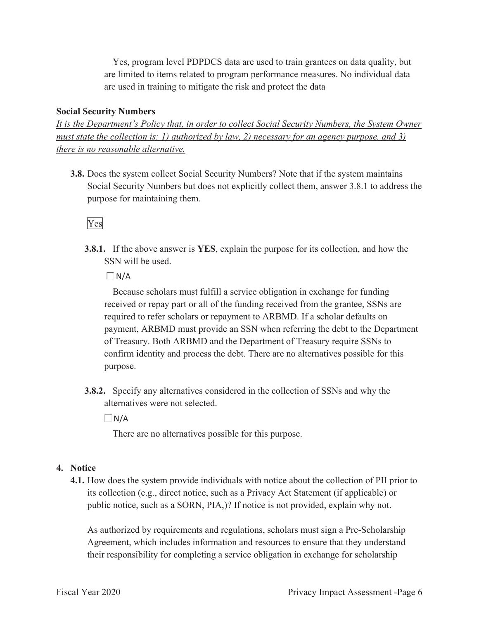Yes, program level PDPDCS data are used to train grantees on data quality, but are limited to items related to program performance measures. No individual data are used in training to mitigate the risk and protect the data

#### **Social Security Numbers**

*It is the Department's Policy that, in order to collect Social Security Numbers, the System Owner must state the collection is: 1) authorized by law, 2) necessary for an agency purpose, and 3) there is no reasonable alternative.* 

**3.8.** Does the system collect Social Security Numbers? Note that if the system maintains Social Security Numbers but does not explicitly collect them, answer 3.8.1 to address the purpose for maintaining them.

## Yes

**3.8.1.** If the above answer is **YES**, explain the purpose for its collection, and how the SSN will be used.

 $\Box N/A$ 

Because scholars must fulfill a service obligation in exchange for funding received or repay part or all of the funding received from the grantee, SSNs are required to refer scholars or repayment to ARBMD. If a scholar defaults on payment, ARBMD must provide an SSN when referring the debt to the Department of Treasury. Both ARBMD and the Department of Treasury require SSNs to confirm identity and process the debt. There are no alternatives possible for this purpose.

**3.8.2.** Specify any alternatives considered in the collection of SSNs and why the alternatives were not selected.

 $\Box$ N/A

There are no alternatives possible for this purpose.

#### **4. Notice**

**4.1.** How does the system provide individuals with notice about the collection of PII prior to its collection (e.g., direct notice, such as a Privacy Act Statement (if applicable) or public notice, such as a SORN, PIA,)? If notice is not provided, explain why not.

As authorized by requirements and regulations, scholars must sign a Pre-Scholarship Agreement, which includes information and resources to ensure that they understand their responsibility for completing a service obligation in exchange for scholarship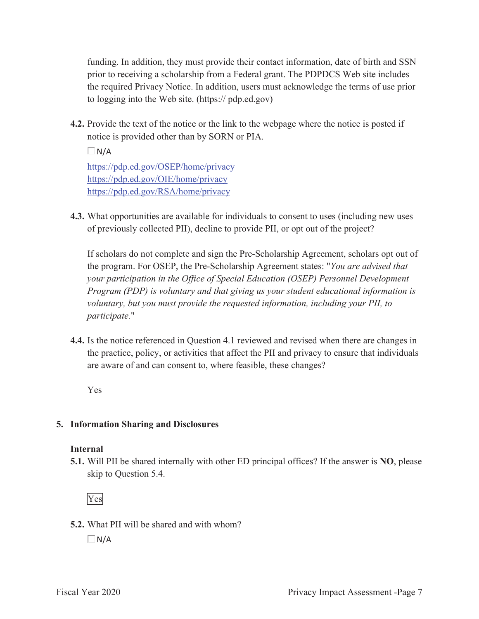funding. In addition, they must provide their contact information, date of birth and SSN prior to receiving a scholarship from a Federal grant. The PDPDCS Web site includes the required Privacy Notice. In addition, users must acknowledge the terms of use prior to logging into the Web site. (https:// pdp.ed.gov)

**4.2.** Provide the text of the notice or the link to the webpage where the notice is posted if notice is provided other than by SORN or PIA.

 $\Box$ N/A

https://pdp.ed.gov/OSEP/home/privacy https://pdp.ed.gov/OIE/home/privacy https://pdp.ed.gov/RSA/home/privacy

**4.3.** What opportunities are available for individuals to consent to uses (including new uses of previously collected PII), decline to provide PII, or opt out of the project?

If scholars do not complete and sign the Pre-Scholarship Agreement, scholars opt out of the program. For OSEP, the Pre-Scholarship Agreement states: "*You are advised that your participation in the Office of Special Education (OSEP) Personnel Development Program (PDP) is voluntary and that giving us your student educational information is voluntary, but you must provide the requested information, including your PII, to participate.*"

**4.4.** Is the notice referenced in Question 4.1 reviewed and revised when there are changes in the practice, policy, or activities that affect the PII and privacy to ensure that individuals are aware of and can consent to, where feasible, these changes?

Yes

## **5. Information Sharing and Disclosures**

#### **Internal**

**5.1.** Will PII be shared internally with other ED principal offices? If the answer is **NO**, please skip to Question 5.4.

Yes

**5.2.** What PII will be shared and with whom?

 $\Box$ N/A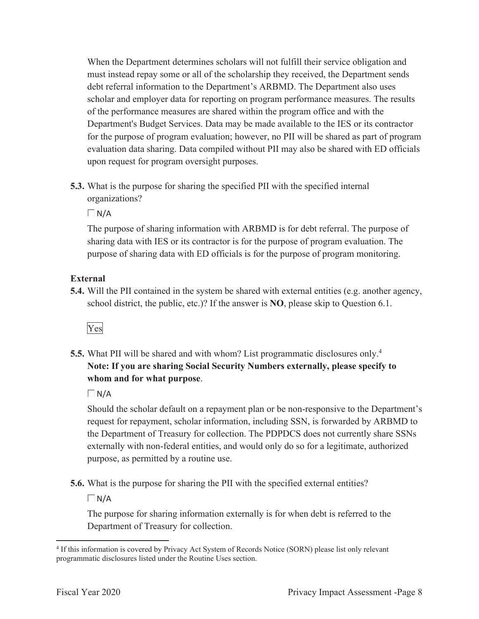When the Department determines scholars will not fulfill their service obligation and must instead repay some or all of the scholarship they received, the Department sends debt referral information to the Department's ARBMD. The Department also uses scholar and employer data for reporting on program performance measures. The results of the performance measures are shared within the program office and with the Department's Budget Services. Data may be made available to the IES or its contractor for the purpose of program evaluation; however, no PII will be shared as part of program evaluation data sharing. Data compiled without PII may also be shared with ED officials upon request for program oversight purposes.

**5.3.** What is the purpose for sharing the specified PII with the specified internal organizations?

 $\Box$  N/A

The purpose of sharing information with ARBMD is for debt referral. The purpose of sharing data with IES or its contractor is for the purpose of program evaluation. The purpose of sharing data with ED officials is for the purpose of program monitoring.

#### **External**

**5.4.** Will the PII contained in the system be shared with external entities (e.g. another agency, school district, the public, etc.)? If the answer is **NO**, please skip to Question 6.1.



**5.5.** What PII will be shared and with whom? List programmatic disclosures only.<sup>4</sup> **Note: If you are sharing Social Security Numbers externally, please specify to whom and for what purpose**.

 $\Box$  N/A

Should the scholar default on a repayment plan or be non-responsive to the Department's request for repayment, scholar information, including SSN, is forwarded by ARBMD to the Department of Treasury for collection. The PDPDCS does not currently share SSNs externally with non-federal entities, and would only do so for a legitimate, authorized purpose, as permitted by a routine use.

**5.6.** What is the purpose for sharing the PII with the specified external entities?

 $\Box$ N/A

The purpose for sharing information externally is for when debt is referred to the Department of Treasury for collection.

<sup>4</sup> If this information is covered by Privacy Act System of Records Notice (SORN) please list only relevant programmatic disclosures listed under the Routine Uses section.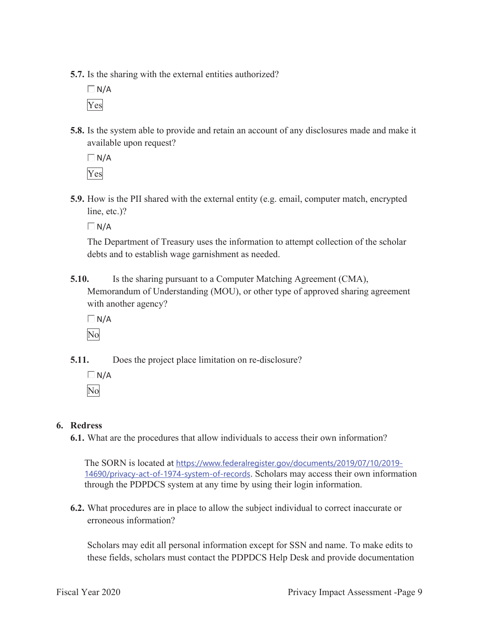**5.7.** Is the sharing with the external entities authorized?

 $\Box$  N/A Yes

**5.8.** Is the system able to provide and retain an account of any disclosures made and make it available upon request?

 $\Box N/A$ Yes

**5.9.** How is the PII shared with the external entity (e.g. email, computer match, encrypted line, etc.)?

 $\Box$ N/A

The Department of Treasury uses the information to attempt collection of the scholar debts and to establish wage garnishment as needed.

**5.10.** Is the sharing pursuant to a Computer Matching Agreement (CMA), Memorandum of Understanding (MOU), or other type of approved sharing agreement with another agency?

 $\Box$ N/A

No

**5.11.** Does the project place limitation on re-disclosure?

 $\Box N/A$ No

#### **6. Redress**

**6.1.** What are the procedures that allow individuals to access their own information?

The SORN is located at https://www.federalregister.gov/documents/2019/07/10/2019- 14690/privacy-act-of-1974-system-of-records. Scholars may access their own information through the PDPDCS system at any time by using their login information.

**6.2.** What procedures are in place to allow the subject individual to correct inaccurate or erroneous information?

Scholars may edit all personal information except for SSN and name. To make edits to these fields, scholars must contact the PDPDCS Help Desk and provide documentation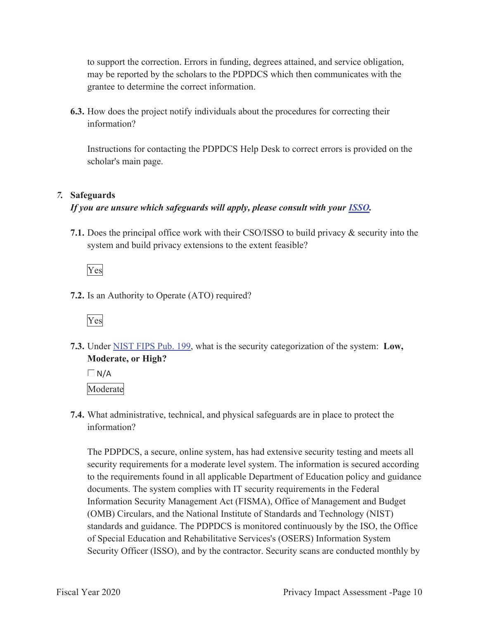to support the correction. Errors in funding, degrees attained, and service obligation, may be reported by the scholars to the PDPDCS which then communicates with the grantee to determine the correct information.

**6.3.** How does the project notify individuals about the procedures for correcting their information?

Instructions for contacting the PDPDCS Help Desk to correct errors is provided on the scholar's main page.

## *7.* **Safeguards**

## *If you are unsure which safeguards will apply, please consult with your ISSO.*

**7.1.** Does the principal office work with their CSO/ISSO to build privacy & security into the system and build privacy extensions to the extent feasible?

Yes

**7.2.** Is an Authority to Operate (ATO) required?



**7.3.** Under NIST FIPS Pub. 199, what is the security categorization of the system: **Low, Moderate, or High?** 

 $\Box$  N/A Moderate

**7.4.** What administrative, technical, and physical safeguards are in place to protect the information?

The PDPDCS, a secure, online system, has had extensive security testing and meets all security requirements for a moderate level system. The information is secured according to the requirements found in all applicable Department of Education policy and guidance documents. The system complies with IT security requirements in the Federal Information Security Management Act (FISMA), Office of Management and Budget (OMB) Circulars, and the National Institute of Standards and Technology (NIST) standards and guidance. The PDPDCS is monitored continuously by the ISO, the Office of Special Education and Rehabilitative Services's (OSERS) Information System Security Officer (ISSO), and by the contractor. Security scans are conducted monthly by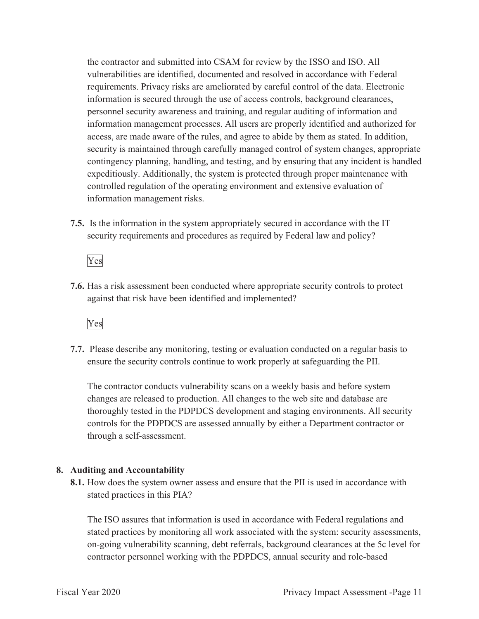the contractor and submitted into CSAM for review by the ISSO and ISO. All vulnerabilities are identified, documented and resolved in accordance with Federal requirements. Privacy risks are ameliorated by careful control of the data. Electronic information is secured through the use of access controls, background clearances, personnel security awareness and training, and regular auditing of information and information management processes. All users are properly identified and authorized for access, are made aware of the rules, and agree to abide by them as stated. In addition, security is maintained through carefully managed control of system changes, appropriate contingency planning, handling, and testing, and by ensuring that any incident is handled expeditiously. Additionally, the system is protected through proper maintenance with controlled regulation of the operating environment and extensive evaluation of information management risks.

**7.5.** Is the information in the system appropriately secured in accordance with the IT security requirements and procedures as required by Federal law and policy?

Yes

**7.6.** Has a risk assessment been conducted where appropriate security controls to protect against that risk have been identified and implemented?



**7.7.** Please describe any monitoring, testing or evaluation conducted on a regular basis to ensure the security controls continue to work properly at safeguarding the PII.

The contractor conducts vulnerability scans on a weekly basis and before system changes are released to production. All changes to the web site and database are thoroughly tested in the PDPDCS development and staging environments. All security controls for the PDPDCS are assessed annually by either a Department contractor or through a self-assessment.

#### **8. Auditing and Accountability**

**8.1.** How does the system owner assess and ensure that the PII is used in accordance with stated practices in this PIA?

The ISO assures that information is used in accordance with Federal regulations and stated practices by monitoring all work associated with the system: security assessments, on-going vulnerability scanning, debt referrals, background clearances at the 5c level for contractor personnel working with the PDPDCS, annual security and role-based